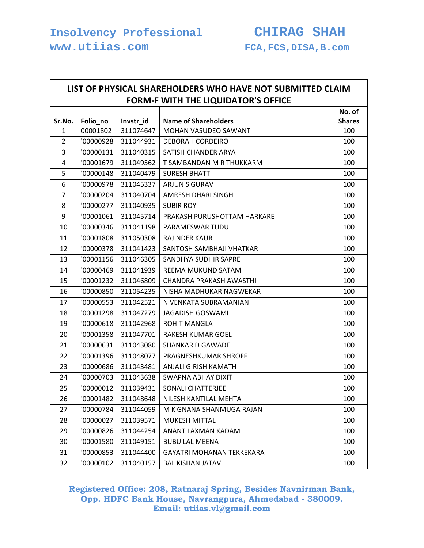**www.utiias.com FCA,FCS,DISA,B.com** 

Г

|                | <b>FORM-F WITH THE LIQUIDATOR'S OFFICE</b> |           |                                  |                         |  |  |
|----------------|--------------------------------------------|-----------|----------------------------------|-------------------------|--|--|
| Sr.No.         | Folio_no                                   | Invstr_id | <b>Name of Shareholders</b>      | No. of<br><b>Shares</b> |  |  |
| $\mathbf{1}$   | 00001802                                   | 311074647 | <b>MOHAN VASUDEO SAWANT</b>      | 100                     |  |  |
| $\overline{2}$ | '00000928                                  | 311044931 | <b>DEBORAH CORDEIRO</b>          | 100                     |  |  |
| 3              | '00000131                                  | 311040315 | SATISH CHANDER ARYA              | 100                     |  |  |
| 4              | '00001679                                  | 311049562 | T SAMBANDAN M R THUKKARM         | 100                     |  |  |
| 5              | '00000148                                  | 311040479 | <b>SURESH BHATT</b>              | 100                     |  |  |
| 6              | '00000978                                  | 311045337 | <b>ARJUN S GURAV</b>             | 100                     |  |  |
| $\overline{7}$ | '00000204                                  | 311040704 | AMRESH DHARI SINGH               | 100                     |  |  |
| 8              | '00000277                                  | 311040935 | <b>SUBIR ROY</b>                 | 100                     |  |  |
| 9              | '00001061                                  | 311045714 | PRAKASH PURUSHOTTAM HARKARE      | 100                     |  |  |
| 10             | '00000346                                  | 311041198 | PARAMESWAR TUDU                  | 100                     |  |  |
| 11             | '00001808                                  | 311050308 | <b>RAJINDER KAUR</b>             | 100                     |  |  |
| 12             | '00000378                                  | 311041423 | SANTOSH SAMBHAJI VHATKAR         | 100                     |  |  |
| 13             | '00001156                                  | 311046305 | SANDHYA SUDHIR SAPRE             | 100                     |  |  |
| 14             | '00000469                                  | 311041939 | REEMA MUKUND SATAM               | 100                     |  |  |
| 15             | '00001232                                  | 311046809 | <b>CHANDRA PRAKASH AWASTHI</b>   | 100                     |  |  |
| 16             | '00000850                                  | 311054235 | NISHA MADHUKAR NAGWEKAR          | 100                     |  |  |
| 17             | '00000553                                  | 311042521 | N VENKATA SUBRAMANIAN            | 100                     |  |  |
| 18             | '00001298                                  | 311047279 | <b>JAGADISH GOSWAMI</b>          | 100                     |  |  |
| 19             | '00000618                                  | 311042968 | <b>ROHIT MANGLA</b>              | 100                     |  |  |
| 20             | '00001358                                  | 311047701 | RAKESH KUMAR GOEL                | 100                     |  |  |
| 21             | '00000631                                  | 311043080 | <b>SHANKAR D GAWADE</b>          | 100                     |  |  |
| 22             | '00001396                                  | 311048077 | PRAGNESHKUMAR SHROFF             | 100                     |  |  |
| 23             | '00000686                                  | 311043481 | ANJALI GIRISH KAMATH             | 100                     |  |  |
| 24             | '00000703                                  | 311043638 | SWAPNA ABHAY DIXIT               | 100                     |  |  |
| 25             | '00000012                                  | 311039431 | <b>SONALI CHATTERJEE</b>         | 100                     |  |  |
| 26             | '00001482                                  | 311048648 | NILESH KANTILAL MEHTA            | 100                     |  |  |
| 27             | '00000784                                  | 311044059 | M K GNANA SHANMUGA RAJAN         | 100                     |  |  |
| 28             | '00000027                                  | 311039571 | MUKESH MITTAL                    | 100                     |  |  |
| 29             | '00000826                                  | 311044254 | ANANT LAXMAN KADAM               |                         |  |  |
| 30             | '00001580                                  | 311049151 | <b>BUBU LAL MEENA</b>            | 100                     |  |  |
| 31             | '00000853                                  | 311044400 | <b>GAYATRI MOHANAN TEKKEKARA</b> | 100                     |  |  |
| 32             | '00000102                                  | 311040157 | <b>BAL KISHAN JATAV</b>          | 100                     |  |  |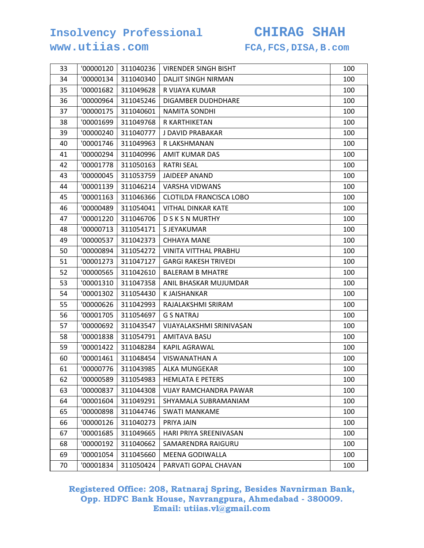### **www.utiias.com FCA,FCS,DISA,B.com**

| 33 | '00000120 | 311040236 | <b>VIRENDER SINGH BISHT</b>    | 100 |
|----|-----------|-----------|--------------------------------|-----|
| 34 | '00000134 | 311040340 | DALJIT SINGH NIRMAN            | 100 |
| 35 | '00001682 | 311049628 | R VIJAYA KUMAR                 | 100 |
| 36 | '00000964 | 311045246 | DIGAMBER DUDHDHARE             | 100 |
| 37 | '00000175 | 311040601 | NAMITA SONDHI                  | 100 |
| 38 | '00001699 | 311049768 | R KARTHIKETAN                  | 100 |
| 39 | '00000240 | 311040777 | J DAVID PRABAKAR               | 100 |
| 40 | '00001746 | 311049963 | R LAKSHMANAN                   | 100 |
| 41 | '00000294 | 311040996 | <b>AMIT KUMAR DAS</b>          | 100 |
| 42 | '00001778 | 311050163 | <b>RATRI SEAL</b>              | 100 |
| 43 | '00000045 | 311053759 | <b>JAIDEEP ANAND</b>           | 100 |
| 44 | '00001139 | 311046214 | <b>VARSHA VIDWANS</b>          | 100 |
| 45 | '00001163 | 311046366 | <b>CLOTILDA FRANCISCA LOBO</b> | 100 |
| 46 | '00000489 | 311054041 | <b>VITHAL DINKAR KATE</b>      | 100 |
| 47 | '00001220 | 311046706 | <b>DSKSNMURTHY</b>             | 100 |
| 48 | '00000713 | 311054171 | S JEYAKUMAR                    | 100 |
| 49 | '00000537 | 311042373 | <b>CHHAYA MANE</b>             | 100 |
| 50 | '00000894 | 311054272 | VINITA VITTHAL PRABHU          | 100 |
| 51 | '00001273 | 311047127 | <b>GARGI RAKESH TRIVEDI</b>    | 100 |
| 52 | '00000565 | 311042610 | <b>BALERAM B MHATRE</b>        | 100 |
| 53 | '00001310 | 311047358 | ANIL BHASKAR MUJUMDAR          | 100 |
| 54 | '00001302 | 311054430 | K JAISHANKAR                   | 100 |
| 55 | '00000626 | 311042993 | RAJALAKSHMI SRIRAM             | 100 |
| 56 | '00001705 | 311054697 | <b>G S NATRAJ</b>              | 100 |
| 57 | '00000692 | 311043547 | VIJAYALAKSHMI SRINIVASAN       | 100 |
| 58 | '00001838 | 311054791 | AMITAVA BASU                   | 100 |
| 59 | '00001422 | 311048284 | KAPIL AGRAWAL                  | 100 |
| 60 | '00001461 | 311048454 | <b>VISWANATHAN A</b>           | 100 |
| 61 | '00000776 | 311043985 | <b>ALKA MUNGEKAR</b>           | 100 |
| 62 | '00000589 | 311054983 | <b>HEMLATA E PETERS</b>        | 100 |
| 63 | '00000837 | 311044308 | VIJAY RAMCHANDRA PAWAR         | 100 |
| 64 | '00001604 | 311049291 | SHYAMALA SUBRAMANIAM           | 100 |
| 65 | '00000898 | 311044746 | <b>SWATI MANKAME</b>           | 100 |
| 66 | '00000126 | 311040273 | PRIYA JAIN                     | 100 |
| 67 | '00001685 | 311049665 | HARI PRIYA SREENIVASAN         | 100 |
| 68 | '00000192 | 311040662 | SAMARENDRA RAIGURU             | 100 |
| 69 | '00001054 | 311045660 | MEENA GODIWALLA                | 100 |
| 70 | '00001834 | 311050424 | PARVATI GOPAL CHAVAN           | 100 |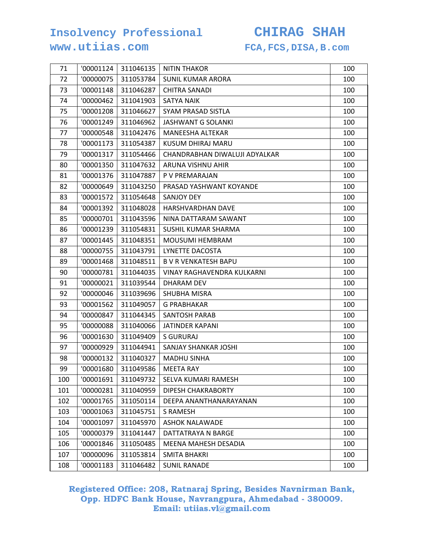### **www.utiias.com FCA,FCS,DISA,B.com**

| 71  | '00001124 | 311046135 | <b>NITIN THAKOR</b>           | 100 |
|-----|-----------|-----------|-------------------------------|-----|
| 72  | '00000075 | 311053784 | <b>SUNIL KUMAR ARORA</b>      | 100 |
| 73  | '00001148 | 311046287 | <b>CHITRA SANADI</b>          | 100 |
| 74  | '00000462 | 311041903 | <b>SATYA NAIK</b>             | 100 |
| 75  | '00001208 | 311046627 | SYAM PRASAD SISTLA            | 100 |
| 76  | '00001249 | 311046962 | JASHWANT G SOLANKI            | 100 |
| 77  | '00000548 | 311042476 | MANEESHA ALTEKAR              | 100 |
| 78  | '00001173 | 311054387 | KUSUM DHIRAJ MARU             | 100 |
| 79  | '00001317 | 311054466 | CHANDRABHAN DIWALUJI ADYALKAR | 100 |
| 80  | '00001350 | 311047632 | ARUNA VISHNU AHIR             | 100 |
| 81  | '00001376 | 311047887 | P V PREMARAJAN                | 100 |
| 82  | '00000649 | 311043250 | PRASAD YASHWANT KOYANDE       | 100 |
| 83  | '00001572 | 311054648 | <b>SANJOY DEY</b>             | 100 |
| 84  | '00001392 | 311048028 | HARSHVARDHAN DAVE             | 100 |
| 85  | '00000701 | 311043596 | NINA DATTARAM SAWANT          | 100 |
| 86  | '00001239 | 311054831 | SUSHIL KUMAR SHARMA           | 100 |
| 87  | '00001445 | 311048351 | <b>MOUSUMI HEMBRAM</b>        | 100 |
| 88  | '00000755 | 311043791 | LYNETTE DACOSTA               | 100 |
| 89  | '00001468 | 311048511 | <b>B V R VENKATESH BAPU</b>   | 100 |
| 90  | '00000781 | 311044035 | VINAY RAGHAVENDRA KULKARNI    | 100 |
| 91  | '00000021 | 311039544 | DHARAM DEV                    | 100 |
| 92  | '00000046 | 311039696 | SHUBHA MISRA                  | 100 |
| 93  | '00001562 | 311049057 | G PRABHAKAR                   | 100 |
| 94  | '00000847 | 311044345 | SANTOSH PARAB                 | 100 |
| 95  | '00000088 | 311040066 | <b>JATINDER KAPANI</b>        | 100 |
| 96  | '00001630 | 311049409 | <b>S GURURAJ</b>              | 100 |
| 97  | '00000929 | 311044941 | SANJAY SHANKAR JOSHI          | 100 |
| 98  | '00000132 | 311040327 | <b>MADHU SINHA</b>            | 100 |
| 99  | '00001680 | 311049586 | <b>MEETA RAY</b>              | 100 |
| 100 | '00001691 | 311049732 | SELVA KUMARI RAMESH           | 100 |
| 101 | '00000281 | 311040959 | DIPESH CHAKRABORTY            | 100 |
| 102 | '00001765 | 311050114 | DEEPA ANANTHANARAYANAN        | 100 |
| 103 | '00001063 | 311045751 | <b>S RAMESH</b>               | 100 |
| 104 | '00001097 | 311045970 | <b>ASHOK NALAWADE</b>         | 100 |
| 105 | '00000379 | 311041447 | DATTATRAYA N BARGE            | 100 |
| 106 | '00001846 | 311050485 | MEENA MAHESH DESADIA          | 100 |
| 107 | '00000096 | 311053814 | <b>SMITA BHAKRI</b>           | 100 |
| 108 | '00001183 | 311046482 | <b>SUNIL RANADE</b>           | 100 |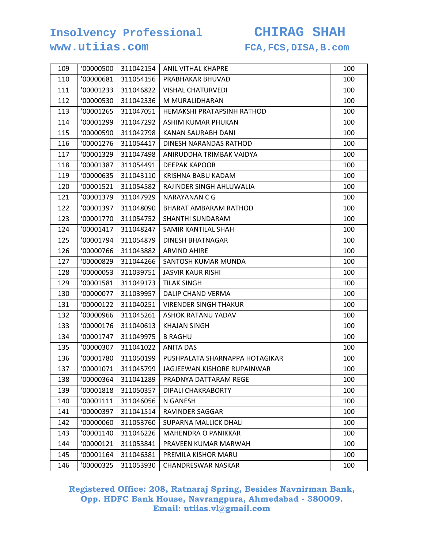### **www.utiias.com FCA,FCS,DISA,B.com**

| 109 | '00000500 | 311042154 | ANIL VITHAL KHAPRE             | 100 |
|-----|-----------|-----------|--------------------------------|-----|
| 110 | '00000681 | 311054156 | PRABHAKAR BHUVAD               | 100 |
| 111 | '00001233 | 311046822 | <b>VISHAL CHATURVEDI</b>       | 100 |
| 112 | '00000530 | 311042336 | M MURALIDHARAN                 | 100 |
| 113 | '00001265 | 311047051 | HEMAKSHI PRATAPSINH RATHOD     | 100 |
| 114 | '00001299 | 311047292 | ASHIM KUMAR PHUKAN             | 100 |
| 115 | '00000590 | 311042798 | KANAN SAURABH DANI             | 100 |
| 116 | '00001276 | 311054417 | DINESH NARANDAS RATHOD         | 100 |
| 117 | '00001329 | 311047498 | ANIRUDDHA TRIMBAK VAIDYA       | 100 |
| 118 | '00001387 | 311054491 | <b>DEEPAK KAPOOR</b>           | 100 |
| 119 | '00000635 | 311043110 | KRISHNA BABU KADAM             | 100 |
| 120 | '00001521 | 311054582 | RAJINDER SINGH AHLUWALIA       | 100 |
| 121 | '00001379 | 311047929 | NARAYANAN C G                  | 100 |
| 122 | '00001397 | 311048090 | BHARAT AMBARAM RATHOD          | 100 |
| 123 | '00001770 | 311054752 | SHANTHI SUNDARAM               | 100 |
| 124 | '00001417 | 311048247 | SAMIR KANTILAL SHAH            | 100 |
| 125 | '00001794 | 311054879 | <b>DINESH BHATNAGAR</b>        | 100 |
| 126 | '00000766 | 311043882 | <b>ARVIND AHIRE</b>            | 100 |
| 127 | '00000829 | 311044266 | SANTOSH KUMAR MUNDA            | 100 |
| 128 | '00000053 | 311039751 | <b>JASVIR KAUR RISHI</b>       | 100 |
| 129 | '00001581 | 311049173 | <b>TILAK SINGH</b>             | 100 |
| 130 | '00000077 | 311039957 | DALIP CHAND VERMA              | 100 |
| 131 | '00000122 | 311040251 | <b>VIRENDER SINGH THAKUR</b>   | 100 |
| 132 | '00000966 | 311045261 | ASHOK RATANU YADAV             | 100 |
| 133 | '00000176 | 311040613 | <b>KHAJAN SINGH</b>            | 100 |
| 134 | '00001747 | 311049975 | <b>B RAGHU</b>                 | 100 |
| 135 | '00000307 | 311041022 | <b>ANITA DAS</b>               | 100 |
| 136 | '00001780 | 311050199 | PUSHPALATA SHARNAPPA HOTAGIKAR | 100 |
| 137 | '00001071 | 311045799 | JAGJEEWAN KISHORE RUPAINWAR    | 100 |
| 138 | '00000364 | 311041289 | PRADNYA DATTARAM REGE          | 100 |
| 139 | '00001818 | 311050357 | DIPALI CHAKRABORTY             | 100 |
| 140 | '00001111 | 311046056 | N GANESH                       | 100 |
| 141 | '00000397 | 311041514 | RAVINDER SAGGAR                | 100 |
| 142 | '00000060 | 311053760 | <b>SUPARNA MALLICK DHALI</b>   | 100 |
| 143 | '00001140 | 311046226 | <b>MAHENDRA O PANIKKAR</b>     | 100 |
| 144 | '00000121 | 311053841 | PRAVEEN KUMAR MARWAH           | 100 |
| 145 | '00001164 | 311046381 | PREMILA KISHOR MARU            | 100 |
| 146 | '00000325 | 311053930 | <b>CHANDRESWAR NASKAR</b>      | 100 |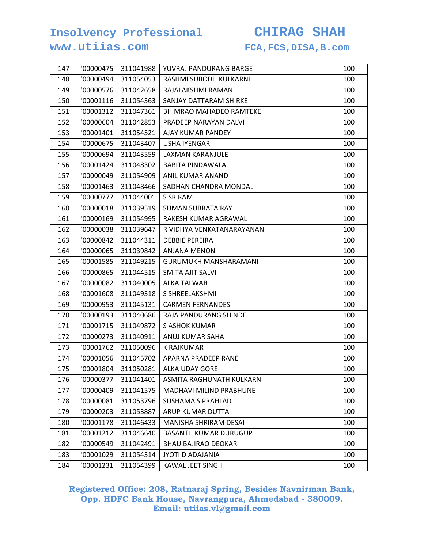### **www.utiias.com FCA,FCS,DISA,B.com**

| 147 | '00000475 | 311041988 | YUVRAJ PANDURANG BARGE         | 100 |
|-----|-----------|-----------|--------------------------------|-----|
| 148 | '00000494 | 311054053 | RASHMI SUBODH KULKARNI         | 100 |
| 149 | '00000576 | 311042658 | RAJALAKSHMI RAMAN              | 100 |
| 150 | '00001116 | 311054363 | SANJAY DATTARAM SHIRKE         | 100 |
| 151 | '00001312 | 311047361 | <b>BHIMRAO MAHADEO RAMTEKE</b> | 100 |
| 152 | '00000604 | 311042853 | PRADEEP NARAYAN DALVI          | 100 |
| 153 | '00001401 | 311054521 | AJAY KUMAR PANDEY              | 100 |
| 154 | '00000675 | 311043407 | <b>USHA IYENGAR</b>            | 100 |
| 155 | '00000694 | 311043559 | LAXMAN KARANJULE               | 100 |
| 156 | '00001424 | 311048302 | <b>BABITA PINDAWALA</b>        | 100 |
| 157 | '00000049 | 311054909 | ANIL KUMAR ANAND               | 100 |
| 158 | '00001463 | 311048466 | SADHAN CHANDRA MONDAL          | 100 |
| 159 | '00000777 | 311044001 | S SRIRAM                       | 100 |
| 160 | '00000018 | 311039519 | <b>SUMAN SUBRATA RAY</b>       | 100 |
| 161 | '00000169 | 311054995 | RAKESH KUMAR AGRAWAL           | 100 |
| 162 | '00000038 | 311039647 | R VIDHYA VENKATANARAYANAN      | 100 |
| 163 | '00000842 | 311044311 | <b>DEBBIE PEREIRA</b>          | 100 |
| 164 | '00000065 | 311039842 | <b>ANJANA MENON</b>            | 100 |
| 165 | '00001585 | 311049215 | <b>GURUMUKH MANSHARAMANI</b>   | 100 |
| 166 | '00000865 | 311044515 | SMITA AJIT SALVI               | 100 |
| 167 | '00000082 | 311040005 | ALKA TALWAR                    | 100 |
| 168 | '00001608 | 311049318 | S SHREELAKSHMI                 | 100 |
| 169 | '00000953 | 311045131 | <b>CARMEN FERNANDES</b>        | 100 |
| 170 | '00000193 | 311040686 | RAJA PANDURANG SHINDE          | 100 |
| 171 | '00001715 | 311049872 | S ASHOK KUMAR                  | 100 |
| 172 | '00000273 | 311040911 | ANUJ KUMAR SAHA                | 100 |
| 173 | '00001762 | 311050096 | <b>K RAJKUMAR</b>              | 100 |
| 174 | '00001056 | 311045702 | APARNA PRADEEP RANE            | 100 |
| 175 | '00001804 | 311050281 | <b>ALKA UDAY GORE</b>          | 100 |
| 176 | '00000377 | 311041401 | ASMITA RAGHUNATH KULKARNI      | 100 |
| 177 | '00000409 | 311041575 | <b>MADHAVI MILIND PRABHUNE</b> | 100 |
| 178 | '00000081 | 311053796 | <b>SUSHAMA S PRAHLAD</b>       | 100 |
| 179 | '00000203 | 311053887 | ARUP KUMAR DUTTA               | 100 |
| 180 | '00001178 | 311046433 | MANISHA SHRIRAM DESAI          | 100 |
| 181 | '00001212 | 311046640 | <b>BASANTH KUMAR DURUGUP</b>   | 100 |
| 182 | '00000549 | 311042491 | <b>BHAU BAJIRAO DEOKAR</b>     | 100 |
| 183 | '00001029 | 311054314 | JYOTI D ADAJANIA               | 100 |
| 184 | '00001231 | 311054399 | KAWAL JEET SINGH               | 100 |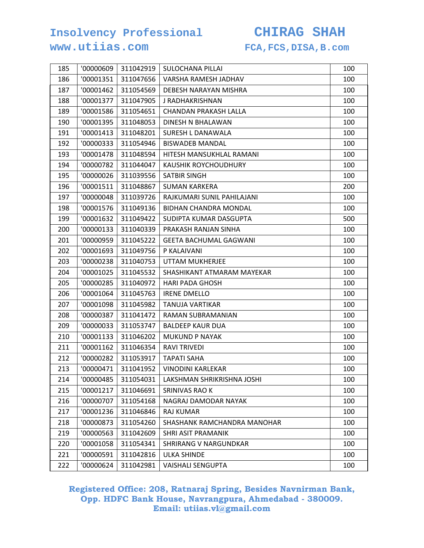### **www.utiias.com FCA,FCS,DISA,B.com**

| 185 | '00000609 | 311042919 | SULOCHANA PILLAI              | 100 |
|-----|-----------|-----------|-------------------------------|-----|
| 186 | '00001351 | 311047656 | VARSHA RAMESH JADHAV          | 100 |
| 187 | '00001462 | 311054569 | DEBESH NARAYAN MISHRA         | 100 |
| 188 | '00001377 | 311047905 | J RADHAKRISHNAN               | 100 |
| 189 | '00001586 | 311054651 | CHANDAN PRAKASH LALLA         | 100 |
| 190 | '00001395 | 311048053 | DINESH N BHALAWAN             | 100 |
| 191 | '00001413 | 311048201 | SURESH L DANAWALA             | 100 |
| 192 | '00000333 | 311054946 | <b>BISWADEB MANDAL</b>        | 100 |
| 193 | '00001478 | 311048594 | HITESH MANSUKHLAL RAMANI      | 100 |
| 194 | '00000782 | 311044047 | <b>KAUSHIK ROYCHOUDHURY</b>   | 100 |
| 195 | '00000026 | 311039556 | SATBIR SINGH                  | 100 |
| 196 | '00001511 | 311048867 | <b>SUMAN KARKERA</b>          | 200 |
| 197 | '00000048 | 311039726 | RAJKUMARI SUNIL PAHILAJANI    | 100 |
| 198 | '00001576 | 311049136 | <b>BIDHAN CHANDRA MONDAL</b>  | 100 |
| 199 | '00001632 | 311049422 | SUDIPTA KUMAR DASGUPTA        | 500 |
| 200 | '00000133 | 311040339 | PRAKASH RANJAN SINHA          | 100 |
| 201 | '00000959 | 311045222 | <b>GEETA BACHUMAL GAGWANI</b> | 100 |
| 202 | '00001693 | 311049756 | P KALAIVANI                   | 100 |
| 203 | '00000238 | 311040753 | UTTAM MUKHERJEE               | 100 |
| 204 | '00001025 | 311045532 | SHASHIKANT ATMARAM MAYEKAR    | 100 |
| 205 | '00000285 | 311040972 | <b>HARI PADA GHOSH</b>        | 100 |
| 206 | '00001064 | 311045763 | <b>IRENE DMELLO</b>           | 100 |
| 207 | '00001098 | 311045982 | <b>TANUJA VARTIKAR</b>        | 100 |
| 208 | '00000387 | 311041472 | RAMAN SUBRAMANIAN             | 100 |
| 209 | '00000033 | 311053747 | <b>BALDEEP KAUR DUA</b>       | 100 |
| 210 | '00001133 | 311046202 | <b>MUKUND P NAYAK</b>         | 100 |
| 211 | '00001162 | 311046354 | <b>RAVI TRIVEDI</b>           | 100 |
| 212 | '00000282 | 311053917 | <b>TAPATI SAHA</b>            | 100 |
| 213 | '00000471 | 311041952 | <b>VINODINI KARLEKAR</b>      | 100 |
| 214 | '00000485 | 311054031 | LAKSHMAN SHRIKRISHNA JOSHI    | 100 |
| 215 | '00001217 | 311046691 | <b>SRINIVAS RAO K</b>         | 100 |
| 216 | '00000707 | 311054168 | NAGRAJ DAMODAR NAYAK          | 100 |
| 217 | '00001236 | 311046846 | <b>RAJ KUMAR</b>              | 100 |
| 218 | '00000873 | 311054260 | SHASHANK RAMCHANDRA MANOHAR   | 100 |
| 219 | '00000563 | 311042609 | SHRI ASIT PRAMANIK            | 100 |
| 220 | '00001058 | 311054341 | <b>SHRIRANG V NARGUNDKAR</b>  | 100 |
| 221 | '00000591 | 311042816 | <b>ULKA SHINDE</b>            | 100 |
| 222 | '00000624 | 311042981 | <b>VAISHALI SENGUPTA</b>      | 100 |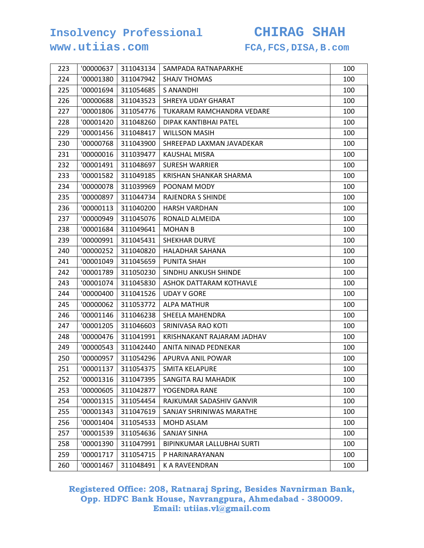### **www.utiias.com FCA,FCS,DISA,B.com**

| 223 | '00000637 | 311043134 | SAMPADA RATNAPARKHE        | 100 |
|-----|-----------|-----------|----------------------------|-----|
| 224 | '00001380 | 311047942 | <b>SHAJV THOMAS</b>        | 100 |
| 225 | '00001694 | 311054685 | <b>S ANANDHI</b>           | 100 |
| 226 | '00000688 | 311043523 | SHREYA UDAY GHARAT         | 100 |
| 227 | '00001806 | 311054776 | TUKARAM RAMCHANDRA VEDARE  | 100 |
| 228 | '00001420 | 311048260 | DIPAK KANTIBHAI PATEL      | 100 |
| 229 | '00001456 | 311048417 | <b>WILLSON MASIH</b>       | 100 |
| 230 | '00000768 | 311043900 | SHREEPAD LAXMAN JAVADEKAR  | 100 |
| 231 | '00000016 | 311039477 | <b>KAUSHAL MISRA</b>       | 100 |
| 232 | '00001491 | 311048697 | <b>SURESH WARRIER</b>      | 100 |
| 233 | '00001582 | 311049185 | KRISHAN SHANKAR SHARMA     | 100 |
| 234 | '00000078 | 311039969 | POONAM MODY                | 100 |
| 235 | '00000897 | 311044734 | RAJENDRA S SHINDE          | 100 |
| 236 | '00000113 | 311040200 | <b>HARSH VARDHAN</b>       | 100 |
| 237 | '00000949 | 311045076 | RONALD ALMEIDA             | 100 |
| 238 | '00001684 | 311049641 | <b>MOHAN B</b>             | 100 |
| 239 | '00000991 | 311045431 | <b>SHEKHAR DURVE</b>       | 100 |
| 240 | '00000252 | 311040820 | <b>HALADHAR SAHANA</b>     | 100 |
| 241 | '00001049 | 311045659 | PUNITA SHAH                | 100 |
| 242 | '00001789 | 311050230 | SINDHU ANKUSH SHINDE       | 100 |
| 243 | '00001074 | 311045830 | ASHOK DATTARAM KOTHAVLE    | 100 |
| 244 | '00000400 | 311041526 | <b>UDAY V GORE</b>         | 100 |
| 245 | '00000062 | 311053772 | <b>ALPA MATHUR</b>         | 100 |
| 246 | '00001146 | 311046238 | SHEELA MAHENDRA            | 100 |
| 247 | '00001205 | 311046603 | SRINIVASA RAO KOTI         | 100 |
| 248 | '00000476 | 311041991 | KRISHNAKANT RAJARAM JADHAV | 100 |
| 249 | '00000543 | 311042440 | ANITA NINAD PEDNEKAR       | 100 |
| 250 | '00000957 | 311054296 | APURVA ANIL POWAR          | 100 |
| 251 | '00001137 | 311054375 | <b>SMITA KELAPURE</b>      | 100 |
| 252 | '00001316 | 311047395 | SANGITA RAJ MAHADIK        | 100 |
| 253 | '00000605 | 311042877 | YOGENDRA RANE              | 100 |
| 254 | '00001315 | 311054454 | RAJKUMAR SADASHIV GANVIR   | 100 |
| 255 | '00001343 | 311047619 | SANJAY SHRINIWAS MARATHE   | 100 |
| 256 | '00001404 | 311054533 | <b>MOHD ASLAM</b>          | 100 |
| 257 | '00001539 | 311054636 | <b>SANJAY SINHA</b>        | 100 |
| 258 | '00001390 | 311047991 | BIPINKUMAR LALLUBHAI SURTI | 100 |
| 259 | '00001717 | 311054715 | P HARINARAYANAN            | 100 |
| 260 | '00001467 | 311048491 | K A RAVEENDRAN             | 100 |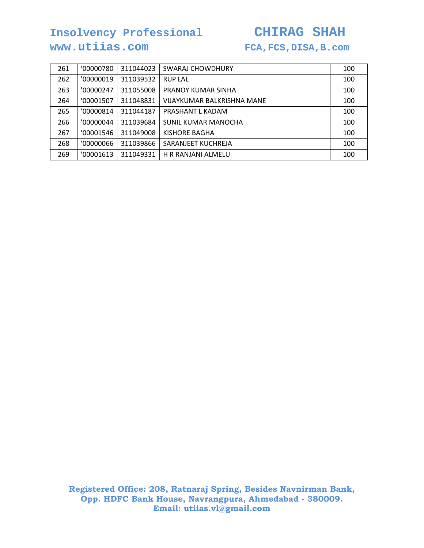## **www.utiias.com FCA,FCS,DISA,B.com**

| 261 | '00000780 | 311044023 | <b>SWARAJ CHOWDHURY</b>    | 100 |
|-----|-----------|-----------|----------------------------|-----|
| 262 | '00000019 | 311039532 | <b>RUP LAL</b>             | 100 |
| 263 | '00000247 | 311055008 | PRANOY KUMAR SINHA         | 100 |
| 264 | '00001507 | 311048831 | VIJAYKUMAR BALKRISHNA MANE | 100 |
| 265 | '00000814 | 311044187 | PRASHANT L KADAM           | 100 |
| 266 | '00000044 | 311039684 | SUNIL KUMAR MANOCHA        | 100 |
| 267 | '00001546 | 311049008 | KISHORE BAGHA              | 100 |
| 268 | '00000066 | 311039866 | SARANJEET KUCHREJA         | 100 |
| 269 | '00001613 | 311049331 | H R RANJANI ALMELU         | 100 |